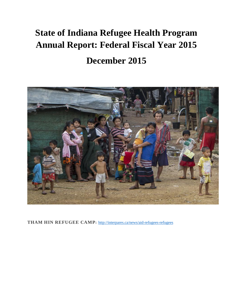# **State of Indiana Refugee Health Program Annual Report: Federal Fiscal Year 2015 December 2015**



**THAM HIN REFUGEE CAMP:** <http://interpares.ca/news/aid-refugees-refugees>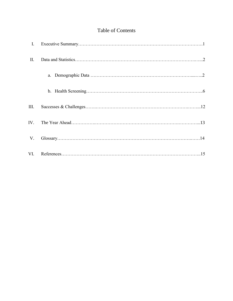## Table of Contents

| $\mathbf{I}$ . |                                                                                  |
|----------------|----------------------------------------------------------------------------------|
| П.             |                                                                                  |
|                |                                                                                  |
|                |                                                                                  |
| III.           |                                                                                  |
| IV.            |                                                                                  |
| V.             | $\begin{minipage}[c]{0.9\linewidth} \textbf{Glossary}.\textbf{14}\end{minipage}$ |
| VI.            |                                                                                  |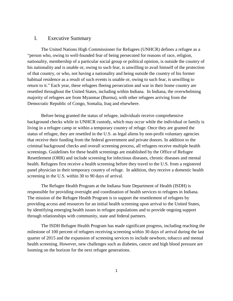## I. Executive Summary

The United Nations High Commissioner for Refugees (UNHCR) defines a refugee as a "person who, owing to well-founded fear of being persecuted for reasons of race, religion, nationality, membership of a particular social group or political opinion, is outside the country of his nationality and is unable or, owing to such fear, is unwilling to avail himself of the protection of that country, or who, not having a nationality and being outside the country of his former habitual residence as a result of such events is unable or, owing to such fear, is unwilling to return to it." Each year, these refugees fleeing persecution and war in their home country are resettled throughout the United States, including within Indiana. In Indiana, the overwhelming majority of refugees are from Myanmar (Burma), with other refugees arriving from the Democratic Republic of Congo, Somalia, Iraq and elsewhere.

Before being granted the status of refugee, individuals receive comprehensive background checks while in UNHCR custody, which may occur while the individual or family is living in a refugee camp or within a temporary country of refuge. Once they are granted the status of refugee, they are resettled in the U.S. as legal aliens by non-profit voluntary agencies that receive their funding from the federal government and private donors. In addition to the criminal background checks and overall screening process, all refugees receive multiple health screenings. Guidelines for these health screenings are established by the Office of Refugee Resettlement (ORR) and include screening for infectious diseases, chronic diseases and mental health. Refugees first receive a health screening before they travel to the U.S. from a registered panel physician in their temporary country of refuge. In addition, they receive a domestic health screening in the U.S. within 30 to 90 days of arrival.

The Refugee Health Program at the Indiana State Department of Health (ISDH) is responsible for providing oversight and coordination of health services to refugees in Indiana. The mission of the Refugee Health Program is to support the resettlement of refugees by providing access and resources for an initial health screening upon arrival to the United States, by identifying emerging health issues in refugee populations and to provide ongoing support through relationships with community, state and federal partners.

The ISDH Refugee Health Program has made significant progress, including reaching the milestone of 100 percent of refugees receiving screening within 30 days of arrival during the last quarter of 2015 and the expansion of screening services to include newborn, tobacco and mental health screening. However, new challenges such as diabetes, cancer and high blood pressure are looming on the horizon for the next refugee generations.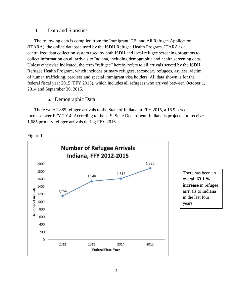## II. Data and Statistics

The following data is compiled from the Immigrant, TB, and All Refugee Application (ITARA), the online database used by the ISDH Refugee Health Program. ITARA is a centralized data collection system used by both ISDH and local refugee screening programs to collect information on all arrivals to Indiana, including demographic and health screening data. Unless otherwise indicated, the term "refugee" hereby refers to all arrivals served by the ISDH Refugee Health Program, which includes primary refugees, secondary refugees, asylees, victim of human trafficking, parolees and special immigrant visa holders. All data shown is for the federal fiscal year 2015 (FFY 2015), which includes all refugees who arrived between October 1, 2014 and September 30, 2015.

## a. Demographic Data

There were 1,885 refugee arrivals to the State of Indiana in FFY 2015, a 16.9 percent increase over FFY 2014. According to the U.S. State Department, Indiana is projected to receive 1,685 primary refugee arrivals during FFY 2016.



Figure 1.

There has been an overall **63.1 % increase** in refugee arrivals to Indiana in the last four years.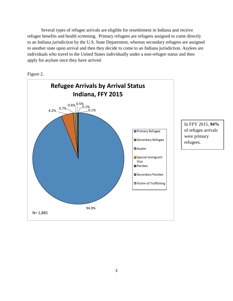Several types of refugee arrivals are eligible for resettlement in Indiana and receive refugee benefits and health screening. Primary refugees are refugees assigned to come directly to an Indiana jurisdiction by the U.S. State Department, whereas secondary refugees are assigned to another state upon arrival and then they decide to come to an Indiana jurisdiction. Asylees are individuals who travel to the United States individually under a non-refugee status and then apply for asylum once they have arrived.



Figure 2.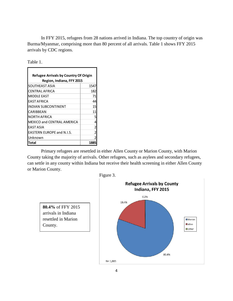In FFY 2015, refugees from 28 nations arrived in Indiana. The top country of origin was Burma/Myanmar, comprising more than 80 percent of all arrivals. Table 1 shows FFY 2015 arrivals by CDC regions.

| able |  |
|------|--|
|      |  |

| <b>Refugee Arrivals by Country Of Origin</b> |      |  |
|----------------------------------------------|------|--|
| Region, Indiana, FFY 2015                    |      |  |
| SOUTHEAST ASIA                               | 1547 |  |
| CENTRAL AFRICA                               | 182  |  |
| <b>MIDDLE EAST</b>                           | 71   |  |
| <b>FAST AFRICA</b>                           | 44   |  |
| <b>INDIAN SUBCONTINENT</b>                   | 15   |  |
| CARIBBEAN                                    | 11   |  |
| NORTH AFRICA                                 | 5    |  |
| <b>MEXICO and CENTRAL AMERICA</b>            | 4    |  |
| EAST ASIA                                    | 2    |  |
| <b>EASTERN EUROPE and N.I.S.</b>             | 2    |  |
| Unknown                                      |      |  |
| Total                                        |      |  |

Primary refugees are resettled in either Allen County or Marion County, with Marion County taking the majority of arrivals. Other refugees, such as asylees and secondary refugees, can settle in any county within Indiana but receive their health screening in either Allen County or Marion County.

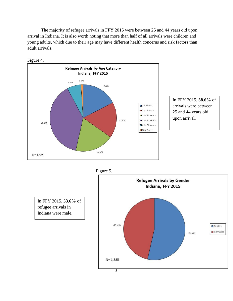The majority of refugee arrivals in FFY 2015 were between 25 and 44 years old upon arrival in Indiana. It is also worth noting that more than half of all arrivals were children and young adults, which due to their age may have different health concerns and risk factors than adult arrivals.





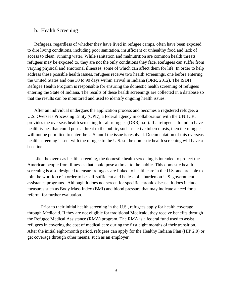## b. Health Screening

Refugees, regardless of whether they have lived in refugee camps, often have been exposed to dire living conditions, including poor sanitation, insufficient or unhealthy food and lack of access to clean, running water. While sanitation and malnutrition are common health threats refugees may be exposed to, they are not the only conditions they face. Refugees can suffer from varying physical and emotional illnesses, some of which can affect them for life. In order to help address these possible health issues, refugees receive two health screenings, one before entering the United States and one 30 to 90 days within arrival in Indiana (ORR, 2012). The ISDH Refugee Health Program is responsible for ensuring the domestic health screening of refugees entering the State of Indiana. The results of these health screenings are collected in a database so that the results can be monitored and used to identify ongoing health issues.

After an individual undergoes the application process and becomes a registered refugee, a U.S. Overseas Processing Entity (OPE), a federal agency in collaboration with the UNHCR, provides the overseas health screening for all refugees (ORR, n.d.). If a refugee is found to have health issues that could pose a threat to the public, such as active tuberculosis, then the refugee will not be permitted to enter the U.S. until the issue is resolved. Documentation of this overseas health screening is sent with the refugee to the U.S. so the domestic health screening will have a baseline.

Like the overseas health screening, the domestic health screening is intended to protect the American people from illnesses that could pose a threat to the public. This domestic health screening is also designed to ensure refugees are linked to health care in the U.S. and are able to join the workforce in order to be self-sufficient and be less of a burden on U.S. government assistance programs. Although it does not screen for specific chronic disease, it does include measures such as Body Mass Index (BMI) and blood pressure that may indicate a need for a referral for further evaluation.

Prior to their initial health screening in the U.S., refugees apply for health coverage through Medicaid. If they are not eligible for traditional Medicaid, they receive benefits through the Refugee Medical Assistance (RMA) program. The RMA is a federal fund used to assist refugees in covering the cost of medical care during the first eight months of their transition. After the initial eight-month period, refugees can apply for the Healthy Indiana Plan (HIP 2.0) or get coverage through other means, such as an employer.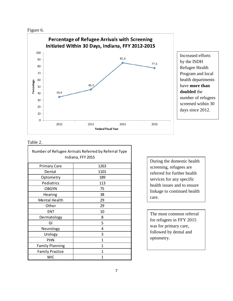



Increased efforts by the ISDH Refugee Health Program and local health departments have **more than doubled** the number of refugees screened within 30 days since 2012.

## Table 2.

| Number of Refugee Arrivals Referred by Referral Type<br>Indiana, FFY 2015 |      |  |  |  |
|---------------------------------------------------------------------------|------|--|--|--|
| <b>Primary Care</b>                                                       | 1263 |  |  |  |
| Dental                                                                    | 1101 |  |  |  |
| Optometry                                                                 | 189  |  |  |  |
| Pediatrics                                                                | 113  |  |  |  |
| <b>OBGYN</b>                                                              | 75   |  |  |  |
| Hearing                                                                   | 38   |  |  |  |
| <b>Mental Health</b>                                                      | 29   |  |  |  |
| Other                                                                     | 29   |  |  |  |
| <b>ENT</b>                                                                | 10   |  |  |  |
| Dermatology                                                               | 8    |  |  |  |
| GI                                                                        | 5    |  |  |  |
| Neurology                                                                 | 4    |  |  |  |
| Urology                                                                   | 3    |  |  |  |
| <b>PHN</b>                                                                | 1    |  |  |  |
| <b>Family Planning</b>                                                    | 1    |  |  |  |
| <b>Family Practice</b>                                                    | 1    |  |  |  |
| <b>WIC</b>                                                                | 1    |  |  |  |

During the domestic health screening, refugees are referred for further health services for any specific health issues and to ensure linkage to continued health care.

The most common referral for refugees in FFY 2015 was for primary care, followed by dental and optometry.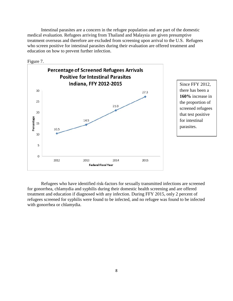Intestinal parasites are a concern in the refugee population and are part of the domestic medical evaluation. Refugees arriving from Thailand and Malaysia are given presumptive treatment overseas and therefore are excluded from screening upon arrival to the U.S. Refugees who screen positive for intestinal parasites during their evaluation are offered treatment and education on how to prevent further infection.



Refugees who have identified risk-factors for sexually transmitted infections are screened for gonorrhea, chlamydia and syphilis during their domestic health screening and are offered treatment and education if diagnosed with any infection. During FFY 2015, only 2 percent of refugees screened for syphilis were found to be infected, and no refugee was found to be infected with gonorrhea or chlamydia.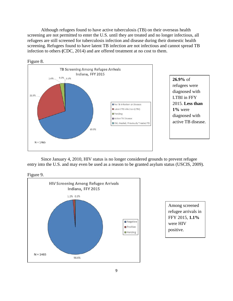Although refugees found to have active tuberculosis (TB) on their overseas health screening are not permitted to enter the U.S. until they are treated and no longer infectious, all refugees are still screened for tuberculosis infection and disease during their domestic health screening. Refugees found to have latent TB infection are not infectious and cannot spread TB infection to others **(**CDC, 2014) and are offered treatment at no cost to them.



Since January 4, 2010, HIV status is no longer considered grounds to prevent refugee entry into the U.S. and may even be used as a reason to be granted asylum status (USCIS, 2009).





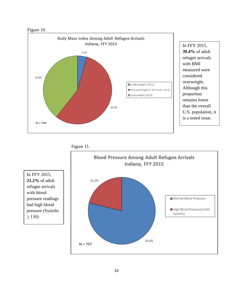



In FFY 2015, **39.4%** of adult refugee arrivals with BMI measured were considered overweight. Although this proportion remains lower than the overall U.S. population, it is a noted issue.





In FFY 2015, **21.2%** of adult refugee arrivals with blood pressure readings had high blood pressure (Systolic  $\geq$  130)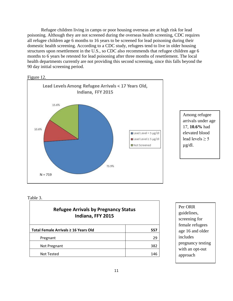Refugee children living in camps or poor housing overseas are at high risk for lead poisoning. Although they are not screened during the overseas health screening, CDC requires all refugee children age 6 months to 16 years to be screened for lead poisoning during their domestic health screening. According to a CDC study, refugees tend to live in older housing structures upon resettlement in the U.S., so CDC also recommends that refugee children age 6 months to 6 years be retested for lead poisoning after three months of resettlement. The local health departments currently are not providing this second screening, since this falls beyond the 90 day initial screening period.





Among refugee arrivals under age 17, **10.6%** had elevated blood lead levels  $\geq 5$ µg/dl.

#### Table 3.

| <b>Refugee Arrivals by Pregnancy Status</b><br>Indiana, FFY 2015 |     |  |
|------------------------------------------------------------------|-----|--|
| Total Female Arrivals ≥ 16 Years Old                             | 557 |  |
| Pregnant                                                         | 29  |  |
| Not Pregnant                                                     | 382 |  |
| <b>Not Tested</b>                                                | 146 |  |

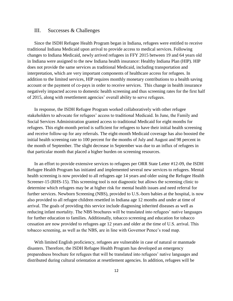## III. Successes & Challenges

Since the ISDH Refugee Health Program began in Indiana, refugees were entitled to receive traditional Indiana Medicaid upon arrival to provide access to medical services. Following changes to Indiana Medicaid, newly arrived refugees in FFY 2015 between 19 and 64 years old in Indiana were assigned to the new Indiana health insurance: Healthy Indiana Plan (HIP). HIP does not provide the same services as traditional Medicaid, including transportation and interpretation, which are very important components of healthcare access for refugees. In addition to the limited services, HIP requires monthly monetary contributions to a health saving account or the payment of co-pays in order to receive services. This change in health insurance negatively impacted access to domestic health screening and thus screening rates for the first half of 2015, along with resettlement agencies' overall ability to serve refugees.

In response, the ISDH Refugee Program worked collaboratively with other refugee stakeholders to advocate for refugees' access to traditional Medicaid. In June, the Family and Social Services Administration granted access to traditional Medicaid for eight months for refugees. This eight-month period is sufficient for refugees to have their initial health screening and receive follow-up for any referrals. The eight-month Medicaid coverage has also boosted the initial health screening rate to 100 percent for the months of July and August and 98 percent in the month of September. The slight decrease in September was due to an influx of refugees in that particular month that placed a higher burden on screening resources.

In an effort to provide extensive services to refugees per ORR State Letter #12-09, the ISDH Refugee Health Program has initiated and implemented several new services to refugees. Mental health screening is now provided to all refugees age 14 years and older using the Refugee Health Screener-15 (RHS-15). This screening tool is not diagnostic but allows the screening clinic to determine which refugees may be at higher risk for mental health issues and need referral for further services. Newborn Screening (NBS), provided to U.S.-born babies at the hospital, is now also provided to all refugee children resettled in Indiana age 12 months and under at time of arrival. The goals of providing this service include diagnosing inherited diseases as well as reducing infant mortality. The NBS brochures will be translated into refugees' native languages for further education to families. Additionally, tobacco screening and education for tobacco cessation are now provided to refugees age 12 years and older at the time of U.S. arrival. This tobacco screening, as well as the NBS, are in line with Governor Pence's road map.

With limited English proficiency, refugees are vulnerable in case of natural or manmade disasters. Therefore, the ISDH Refugee Health Program has developed an emergency preparedness brochure for refugees that will be translated into refugees' native languages and distributed during cultural orientation at resettlement agencies. In addition, refugees will be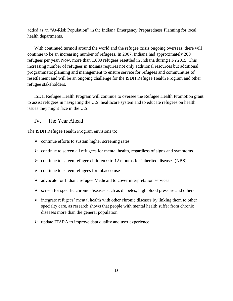added as an "At-Risk Population" in the Indiana Emergency Preparedness Planning for local health departments.

With continued turmoil around the world and the refugee crisis ongoing overseas, there will continue to be an increasing number of refugees. In 2007, Indiana had approximately 200 refugees per year. Now, more than 1,800 refugees resettled in Indiana during FFY2015. This increasing number of refugees in Indiana requires not only additional resources but additional programmatic planning and management to ensure service for refugees and communities of resettlement and will be an ongoing challenge for the ISDH Refugee Health Program and other refugee stakeholders.

ISDH Refugee Health Program will continue to oversee the Refugee Health Promotion grant to assist refugees in navigating the U.S. healthcare system and to educate refugees on health issues they might face in the U.S.

IV. The Year Ahead

The ISDH Refugee Health Program envisions to:

- $\triangleright$  continue efforts to sustain higher screening rates
- $\triangleright$  continue to screen all refugees for mental health, regardless of signs and symptoms
- $\triangleright$  continue to screen refugee children 0 to 12 months for inherited diseases (NBS)
- $\triangleright$  continue to screen refugees for tobacco use
- $\triangleright$  advocate for Indiana refugee Medicaid to cover interpretation services
- $\triangleright$  screen for specific chronic diseases such as diabetes, high blood pressure and others
- $\triangleright$  integrate refugees' mental health with other chronic diseases by linking them to other specialty care, as research shows that people with mental health suffer from chronic diseases more than the general population
- $\triangleright$  update ITARA to improve data quality and user experience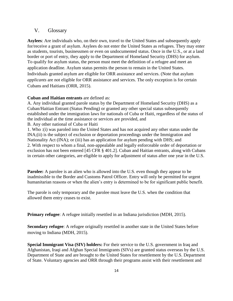## V. Glossary

**Asylees**: Are individuals who, on their own, travel to the United States and subsequently apply for/receive a grant of asylum. Asylees do not enter the United States as refugees. They may enter as students, tourists, businessmen or even on undocumented status. Once in the U.S., or at a land border or port of entry, they apply to the Department of Homeland Security (DHS) for asylum. To qualify for asylum status, the person must meet the definition of a refugee and meet an application deadline. Asylum status permits the person to remain in the United States. Individuals granted asylum are eligible for ORR assistance and services. (Note that asylum *applicants* are not eligible for ORR assistance and services. The only exception is for certain Cubans and Haitians (ORR, 2015).

#### **Cuban and Haitian entrants** are defined as:

A. Any individual granted parole status by the Department of Homeland Security (DHS) as a Cuban/Haitian Entrant (Status Pending) or granted any other special status subsequently established under the immigration laws for nationals of Cuba or Haiti, regardless of the status of the individual at the time assistance or services are provided, and

B. Any other national of Cuba or Haiti

1. Who :(i) was paroled into the United States and has not acquired any other status under the INA;(ii) is the subject of exclusion or deportation proceedings under the Immigration and Nationality Act (INA); or (iii) has an application for asylum pending with DHS; and 2. With respect to whom a final, non-appealable and legally enforceable order of deportation or exclusion has not been entered [45 CFR § 401.2]. Cuban and Haitian entrants, along with Cubans in certain other categories, are eligible to apply for adjustment of status after one year in the U.S.

**Parolee:** A parolee is an alien who is allowed into the U.S. even though they appear to be inadmissible to the Border and Customs Patrol Officer. Entry will only be permitted for urgent humanitarian reasons or when the alien's entry is determined to be for significant public benefit.

The parole is only temporary and the parolee must leave the U.S. when the condition that allowed them entry ceases to exist.

**Primary refugee**: A refugee initially resettled in an Indiana jurisdiction (MDH, 2015).

**Secondary refugee**: A refugee originally resettled in another state in the United States before moving to Indiana (MDH, 2015).

**Special Immigrant Visa (SIV) holders:** For their service to the U.S. government in Iraq and Afghanistan, Iraqi and Afghan Special Immigrants (SIVs) are granted status overseas by the U.S. Department of State and are brought to the United States for resettlement by the U.S. Department of State. Voluntary agencies and ORR through their programs assist with their resettlement and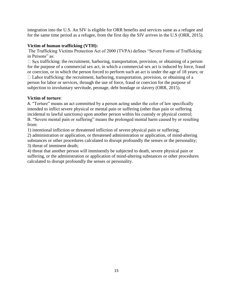integration into the U.S. An SIV is eligible for ORR benefits and services same as a refugee and for the same time period as a refugee, from the first day the SIV arrives in the U.S (ORR, 2015).

## **Victim of human trafficking (VTH):**

The Trafficking Victims Protection Act of 2000 (TVPA) defines "Severe Forms of Trafficking in Persons" as:

 $\Box$  Sex trafficking: the recruitment, harboring, transportation, provision, or obtaining of a person for the purpose of a commercial sex act, in which a commercial sex act is induced by force, fraud or coercion, or in which the person forced to perform such an act is under the age of 18 years; or  $\Box$  Labor trafficking: the recruitment, harboring, transportation, provision, or obtaining of a person for labor or services, through the use of force, fraud or coercion for the purpose of subjection to involuntary servitude, peonage, debt bondage or slavery (ORR, 2015).

## **Victim of torture**:

A. "Torture" means an act committed by a person acting under the color of law specifically intended to inflict severe physical or mental pain or suffering (other than pain or suffering incidental to lawful sanctions) upon another person within his custody or physical control; B. "Severe mental pain or suffering" means the prolonged mental harm caused by or resulting from:

1) intentional infliction or threatened infliction of severe physical pain or suffering;

2) administration or application, or threatened administration or application, of mind-altering substances or other procedures calculated to disrupt profoundly the senses or the personality; 3) threat of imminent death;

4) threat that another person will imminently be subjected to death, severe physical pain or suffering, or the administration or application of mind-altering substances or other procedures calculated to disrupt profoundly the senses or personality.